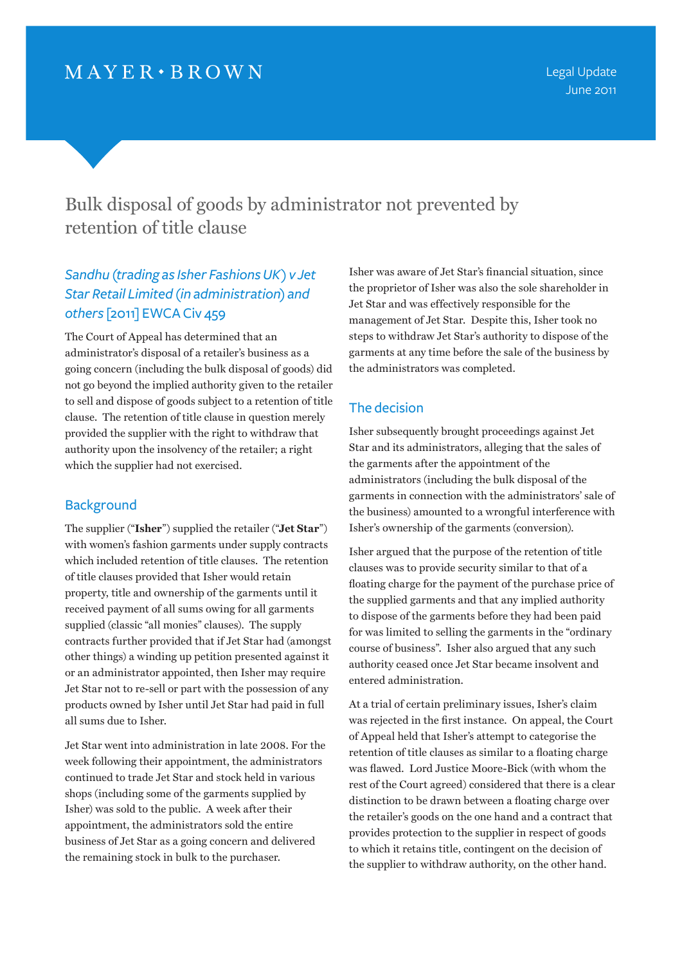Bulk disposal of goods by administrator not prevented by retention of title clause

# *Sandhu (trading as Isher Fashions UK) v Jet Star Retail Limited (in administration) and others* [2011] EWCA Civ 459

The Court of Appeal has determined that an administrator's disposal of a retailer's business as a going concern (including the bulk disposal of goods) did not go beyond the implied authority given to the retailer to sell and dispose of goods subject to a retention of title clause. The retention of title clause in question merely provided the supplier with the right to withdraw that authority upon the insolvency of the retailer; a right which the supplier had not exercised.

## **Background**

The supplier ("**Isher**") supplied the retailer ("**Jet Star**") with women's fashion garments under supply contracts which included retention of title clauses. The retention of title clauses provided that Isher would retain property, title and ownership of the garments until it received payment of all sums owing for all garments supplied (classic "all monies" clauses). The supply contracts further provided that if Jet Star had (amongst other things) a winding up petition presented against it or an administrator appointed, then Isher may require Jet Star not to re-sell or part with the possession of any products owned by Isher until Jet Star had paid in full all sums due to Isher.

Jet Star went into administration in late 2008. For the week following their appointment, the administrators continued to trade Jet Star and stock held in various shops (including some of the garments supplied by Isher) was sold to the public. A week after their appointment, the administrators sold the entire business of Jet Star as a going concern and delivered the remaining stock in bulk to the purchaser.

Isher was aware of Jet Star's financial situation, since the proprietor of Isher was also the sole shareholder in Jet Star and was effectively responsible for the management of Jet Star. Despite this, Isher took no steps to withdraw Jet Star's authority to dispose of the garments at any time before the sale of the business by the administrators was completed.

## The decision

Isher subsequently brought proceedings against Jet Star and its administrators, alleging that the sales of the garments after the appointment of the administrators (including the bulk disposal of the garments in connection with the administrators' sale of the business) amounted to a wrongful interference with Isher's ownership of the garments (conversion).

Isher argued that the purpose of the retention of title clauses was to provide security similar to that of a floating charge for the payment of the purchase price of the supplied garments and that any implied authority to dispose of the garments before they had been paid for was limited to selling the garments in the "ordinary course of business". Isher also argued that any such authority ceased once Jet Star became insolvent and entered administration.

At a trial of certain preliminary issues, Isher's claim was rejected in the first instance. On appeal, the Court of Appeal held that Isher's attempt to categorise the retention of title clauses as similar to a floating charge was flawed. Lord Justice Moore-Bick (with whom the rest of the Court agreed) considered that there is a clear distinction to be drawn between a floating charge over the retailer's goods on the one hand and a contract that provides protection to the supplier in respect of goods to which it retains title, contingent on the decision of the supplier to withdraw authority, on the other hand.